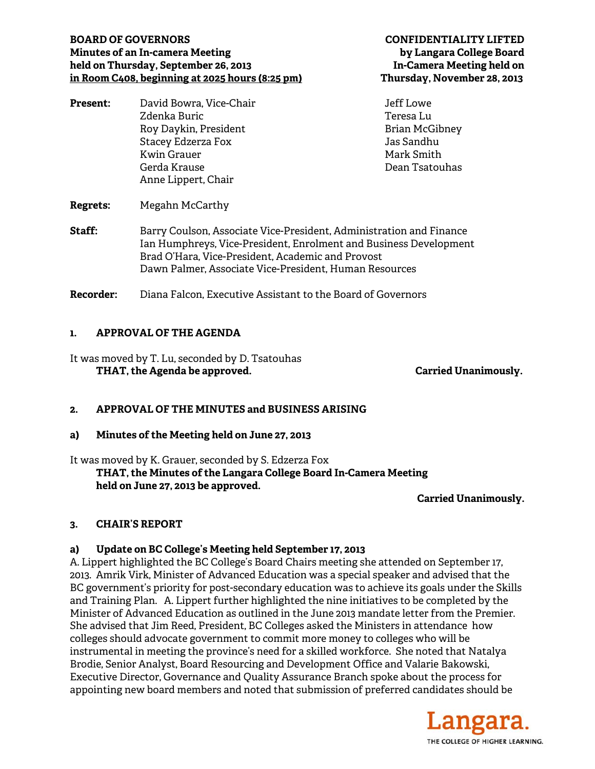# **BOARD OF GOVERNORS CONFIDENTIALITY LIFTED Minutes of an In-camera Meeting by Langara College Board held on Thursday, September 26, 2013 In-Camera Meeting held on in Room C408, beginning at 2025 hours (8:25 pm) Thursday, November 28, 2013**

| <b>Present:</b> | David Bowra, Vice-Chair | Jeff Lowe             |
|-----------------|-------------------------|-----------------------|
|                 | Zdenka Buric            | Teresa Lu             |
|                 | Roy Daykin, President   | <b>Brian McGibney</b> |
|                 | Stacey Edzerza Fox      | Jas Sandhu            |
|                 | <b>Kwin Grauer</b>      | Mark Smith            |
|                 | Gerda Krause            | Dean Tsatouhas        |
|                 | Anne Lippert, Chair     |                       |
| <b>Regrets:</b> | Megahn McCarthy         |                       |

**Staff:** Barry Coulson, Associate Vice-President, Administration and Finance Ian Humphreys, Vice-President, Enrolment and Business Development Brad O'Hara, Vice-President, Academic and Provost Dawn Palmer, Associate Vice-President, Human Resources

**Recorder:** Diana Falcon, Executive Assistant to the Board of Governors

# **1. APPROVAL OF THE AGENDA**

It was moved by T. Lu, seconded by D. Tsatouhas  **THAT, the Agenda be approved. Carried Unanimously.** 

# **2. APPROVAL OF THE MINUTES and BUSINESS ARISING**

**a) Minutes of the Meeting held on June 27, 2013** 

It was moved by K. Grauer, seconded by S. Edzerza Fox  **THAT, the Minutes of the Langara College Board In-Camera Meeting held on June 27, 2013 be approved.** 

**Carried Unanimously.** 

# **3. CHAIR'S REPORT**

### **a) Update on BC College's Meeting held September 17, 2013**

A. Lippert highlighted the BC College's Board Chairs meeting she attended on September 17, 2013. Amrik Virk, Minister of Advanced Education was a special speaker and advised that the BC government's priority for post-secondary education was to achieve its goals under the Skills and Training Plan. A. Lippert further highlighted the nine initiatives to be completed by the Minister of Advanced Education as outlined in the June 2013 mandate letter from the Premier. She advised that Jim Reed, President, BC Colleges asked the Ministers in attendance how colleges should advocate government to commit more money to colleges who will be instrumental in meeting the province's need for a skilled workforce. She noted that Natalya Brodie, Senior Analyst, Board Resourcing and Development Office and Valarie Bakowski, Executive Director, Governance and Quality Assurance Branch spoke about the process for appointing new board members and noted that submission of preferred candidates should be

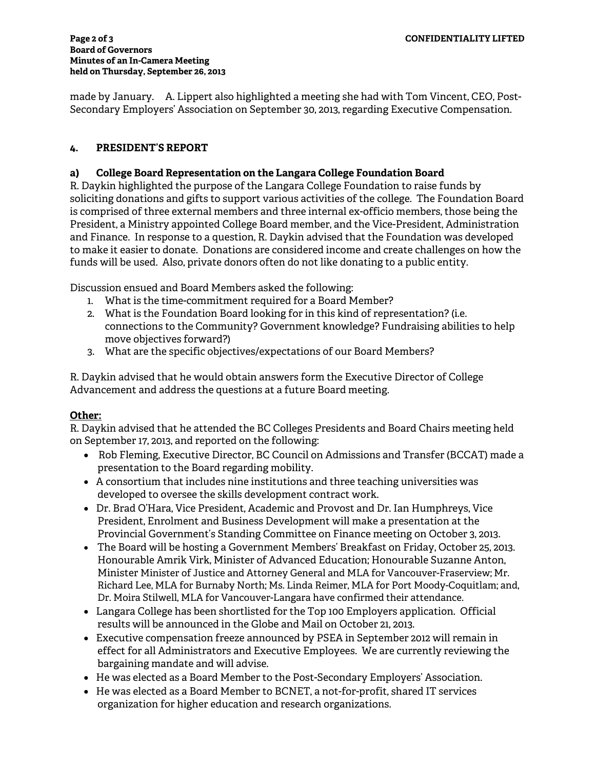made by January. A. Lippert also highlighted a meeting she had with Tom Vincent, CEO, Post-Secondary Employers' Association on September 30, 2013, regarding Executive Compensation.

# **4. PRESIDENT'S REPORT**

### **a) College Board Representation on the Langara College Foundation Board**

R. Daykin highlighted the purpose of the Langara College Foundation to raise funds by soliciting donations and gifts to support various activities of the college. The Foundation Board is comprised of three external members and three internal ex-officio members, those being the President, a Ministry appointed College Board member, and the Vice-President, Administration and Finance. In response to a question, R. Daykin advised that the Foundation was developed to make it easier to donate. Donations are considered income and create challenges on how the funds will be used. Also, private donors often do not like donating to a public entity.

Discussion ensued and Board Members asked the following:

- 1. What is the time-commitment required for a Board Member?
- 2. What is the Foundation Board looking for in this kind of representation? (i.e. connections to the Community? Government knowledge? Fundraising abilities to help move objectives forward?)
- 3. What are the specific objectives/expectations of our Board Members?

R. Daykin advised that he would obtain answers form the Executive Director of College Advancement and address the questions at a future Board meeting.

# **Other:**

R. Daykin advised that he attended the BC Colleges Presidents and Board Chairs meeting held on September 17, 2013, and reported on the following:

- Rob Fleming, Executive Director, BC Council on Admissions and Transfer (BCCAT) made a presentation to the Board regarding mobility.
- A consortium that includes nine institutions and three teaching universities was developed to oversee the skills development contract work.
- Dr. Brad O'Hara, Vice President, Academic and Provost and Dr. Ian Humphreys, Vice President, Enrolment and Business Development will make a presentation at the Provincial Government's Standing Committee on Finance meeting on October 3, 2013.
- The Board will be hosting a Government Members' Breakfast on Friday, October 25, 2013. Honourable Amrik Virk, Minister of Advanced Education; Honourable Suzanne Anton, Minister Minister of Justice and Attorney General and MLA for Vancouver-Fraserview; Mr. Richard Lee, MLA for Burnaby North; Ms. Linda Reimer, MLA for Port Moody-Coquitlam; and, Dr. Moira Stilwell, MLA for Vancouver-Langara have confirmed their attendance.
- Langara College has been shortlisted for the Top 100 Employers application. Official results will be announced in the Globe and Mail on October 21, 2013.
- Executive compensation freeze announced by PSEA in September 2012 will remain in effect for all Administrators and Executive Employees. We are currently reviewing the bargaining mandate and will advise.
- He was elected as a Board Member to the Post-Secondary Employers' Association.
- He was elected as a Board Member to BCNET, a not-for-profit, shared IT services organization for higher education and research organizations.